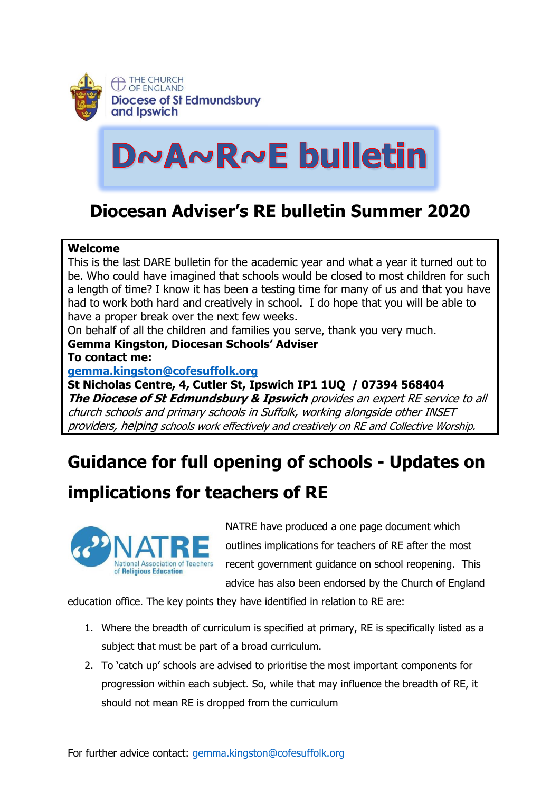

# DNANRNE bulletin

## **Diocesan Adviser's RE bulletin Summer 2020**

#### **Welcome**

This is the last DARE bulletin for the academic year and what a year it turned out to be. Who could have imagined that schools would be closed to most children for such a length of time? I know it has been a testing time for many of us and that you have had to work both hard and creatively in school. I do hope that you will be able to have a proper break over the next few weeks.

On behalf of all the children and families you serve, thank you very much.

### **Gemma Kingston, Diocesan Schools' Adviser**

**To contact me:**

### **[gemma.kingston@cofesuffolk.org](mailto:gemma.kingston@cofesuffolk.org)**

**St Nicholas Centre, 4, Cutler St, Ipswich IP1 1UQ / 07394 568404 The Diocese of St Edmundsbury & Ipswich** provides an expert RE service to all church schools and primary schools in Suffolk, working alongside other INSET providers, helping schools work effectively and creatively on RE and Collective Worship.

# **Guidance for full opening of schools - Updates on**

### **implications for teachers of RE**



NATRE have produced a one page document which outlines implications for teachers of RE after the most recent government guidance on school reopening. This advice has also been endorsed by the Church of England

education office. The key points they have identified in relation to RE are:

- 1. Where the breadth of curriculum is specified at primary, RE is specifically listed as a subject that must be part of a broad curriculum.
- 2. To 'catch up' schools are advised to prioritise the most important components for progression within each subject. So, while that may influence the breadth of RE, it should not mean RE is dropped from the curriculum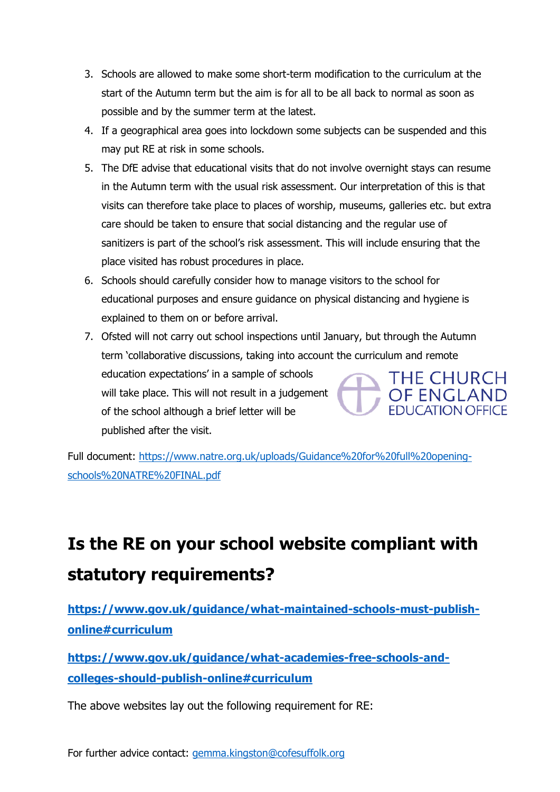- 3. Schools are allowed to make some short-term modification to the curriculum at the start of the Autumn term but the aim is for all to be all back to normal as soon as possible and by the summer term at the latest.
- 4. If a geographical area goes into lockdown some subjects can be suspended and this may put RE at risk in some schools.
- 5. The DfE advise that educational visits that do not involve overnight stays can resume in the Autumn term with the usual risk assessment. Our interpretation of this is that visits can therefore take place to places of worship, museums, galleries etc. but extra care should be taken to ensure that social distancing and the regular use of sanitizers is part of the school's risk assessment. This will include ensuring that the place visited has robust procedures in place.
- 6. Schools should carefully consider how to manage visitors to the school for educational purposes and ensure guidance on physical distancing and hygiene is explained to them on or before arrival.
- 7. Ofsted will not carry out school inspections until January, but through the Autumn term 'collaborative discussions, taking into account the curriculum and remote education expectations' in a sample of schools THE CHURCH will take place. This will not result in a judgement **OF ENGLAND** of the school although a brief letter will be published after the visit.

Full document: [https://www.natre.org.uk/uploads/Guidance%20for%20full%20opening](https://www.natre.org.uk/uploads/Guidance%20for%20full%20opening-schools%20NATRE%20FINAL.pdf)[schools%20NATRE%20FINAL.pdf](https://www.natre.org.uk/uploads/Guidance%20for%20full%20opening-schools%20NATRE%20FINAL.pdf)

# **Is the RE on your school website compliant with statutory requirements?**

**[https://www.gov.uk/guidance/what-maintained-schools-must-publish](https://www.gov.uk/guidance/what-maintained-schools-must-publish-online#curriculum)[online#curriculum](https://www.gov.uk/guidance/what-maintained-schools-must-publish-online#curriculum)**

**[https://www.gov.uk/guidance/what-academies-free-schools-and](https://www.gov.uk/guidance/what-academies-free-schools-and-colleges-should-publish-online#curriculum)[colleges-should-publish-online#curriculum](https://www.gov.uk/guidance/what-academies-free-schools-and-colleges-should-publish-online#curriculum)**

The above websites lay out the following requirement for RE: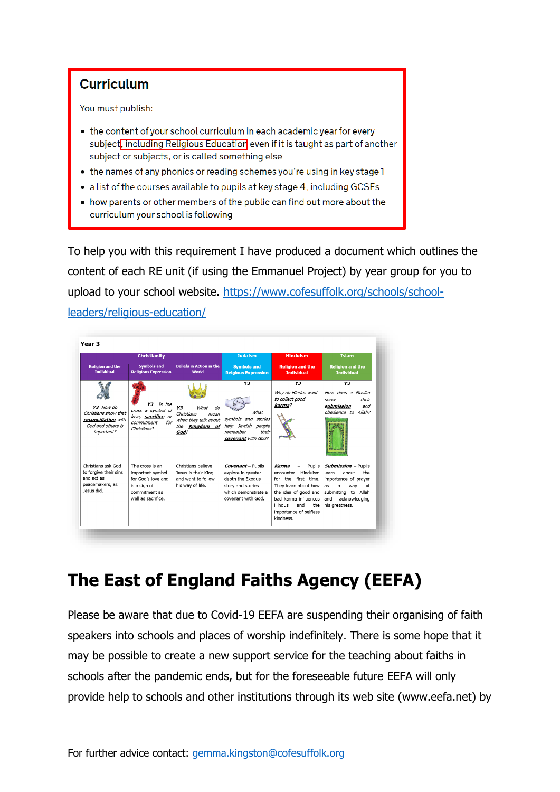

- the content of your school curriculum in each academic year for every subject, including Religious Education even if it is taught as part of another subject or subjects, or is called something else
- the names of any phonics or reading schemes you're using in key stage 1
- a list of the courses available to pupils at key stage 4, including GCSEs
- how parents or other members of the public can find out more about the curriculum your school is following

To help you with this requirement I have produced a document which outlines the content of each RE unit (if using the Emmanuel Project) by year group for you to upload to your school website. [https://www.cofesuffolk.org/schools/school](https://www.cofesuffolk.org/schools/school-leaders/religious-education/)[leaders/religious-education/](https://www.cofesuffolk.org/schools/school-leaders/religious-education/)



# **The East of England Faiths Agency (EEFA)**

Please be aware that due to Covid-19 EEFA are suspending their organising of faith speakers into schools and places of worship indefinitely. There is some hope that it may be possible to create a new support service for the teaching about faiths in schools after the pandemic ends, but for the foreseeable future EEFA will only provide help to schools and other institutions through its web site (www.eefa.net) by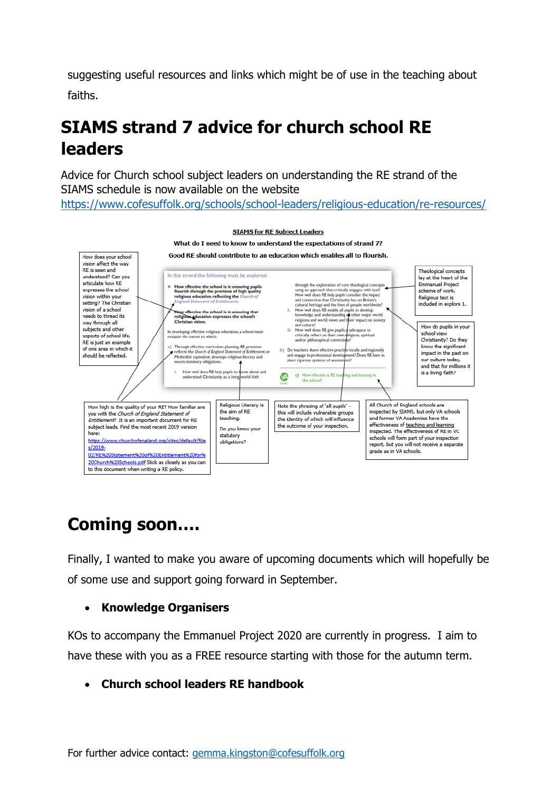suggesting useful resources and links which might be of use in the teaching about faiths.

# **SIAMS strand 7 advice for church school RE leaders**

Advice for Church school subject leaders on understanding the RE strand of the SIAMS schedule is now available on the website <https://www.cofesuffolk.org/schools/school-leaders/religious-education/re-resources/>



# **Coming soon….**

Finally, I wanted to make you aware of upcoming documents which will hopefully be of some use and support going forward in September.

### • **Knowledge Organisers**

KOs to accompany the Emmanuel Project 2020 are currently in progress. I aim to have these with you as a FREE resource starting with those for the autumn term.

• **Church school leaders RE handbook**